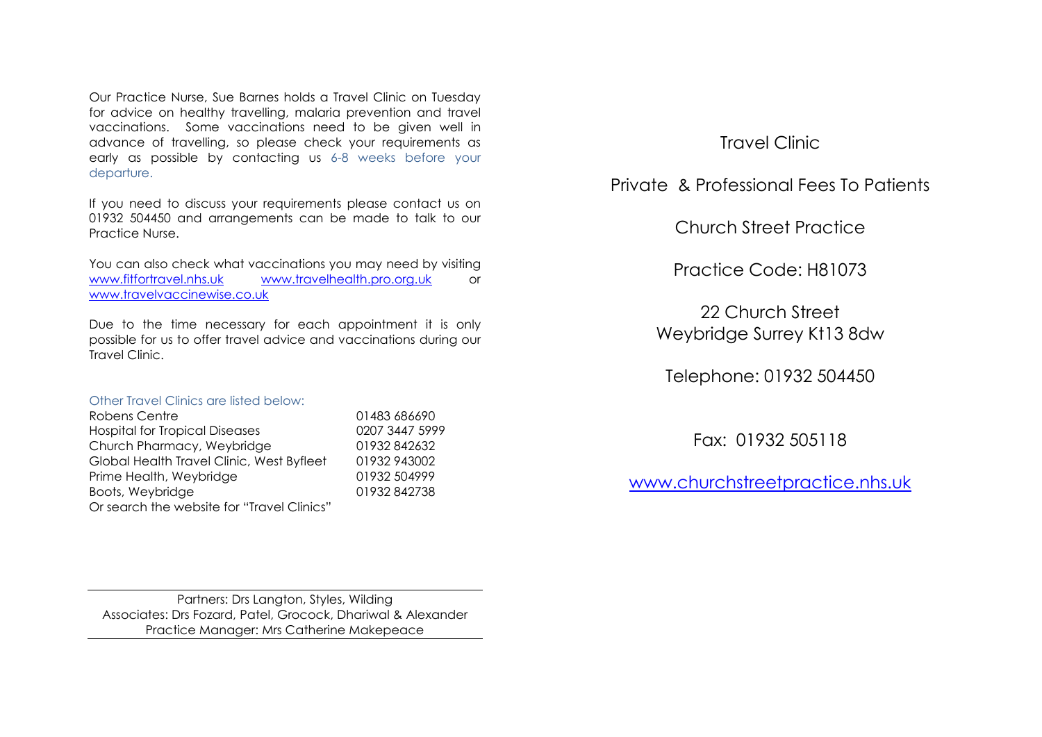Our Practice Nurse, Sue Barnes holds a Travel Clinic on Tuesday for advice on healthy travelling, malaria prevention and travel vaccinations. Some vaccinations need to be given well in advance of travelling, so please check your requirements as early as possible by contacting us 6-8 weeks before your departure.

If you need to discuss your requirements please contact us on 01932 504450 and arrangements can be made to talk to our Practice Nurse.

You can also check what vaccinations you may need by visiting [www.fitfortravel.nhs.uk](http://www.fitfortravel.nhs.uk/) [www.travelhealth.pro.org.uk](http://www.travelhealth.pro.org.uk/) or [www.travelvaccinewise.co.uk](http://www.travelvaccinewise.co.uk/)

Due to the time necessary for each appointment it is only possible for us to offer travel advice and vaccinations during our Travel Clinic.

## Other Travel Clinics are listed below:

| Robens Centre                              | 01483 686690   |
|--------------------------------------------|----------------|
| <b>Hospital for Tropical Diseases</b>      | 0207 3447 5999 |
| Church Pharmacy, Weybridge                 | 01932842632    |
| Global Health Travel Clinic, West Byfleet  | 01932943002    |
| Prime Health, Weybridge                    | 01932 504999   |
| Boots, Weybridge                           | 01932842738    |
| Or search the website for "Travel Clinics" |                |

Travel Clinic

Private & Professional Fees To Patients

Church Street Practice

Practice Code: H81073

22 Church Street Weybridge Surrey Kt13 8dw

Telephone: 01932 504450

Fax: 01932 505118

[www.churchstreetpractice.nhs.uk](http://www.churchstreetpractice.nhs.uk/)

Partners: Drs Langton, Styles, Wilding Associates: Drs Fozard, Patel, Grocock, Dhariwal & Alexander Practice Manager: Mrs Catherine Makepeace